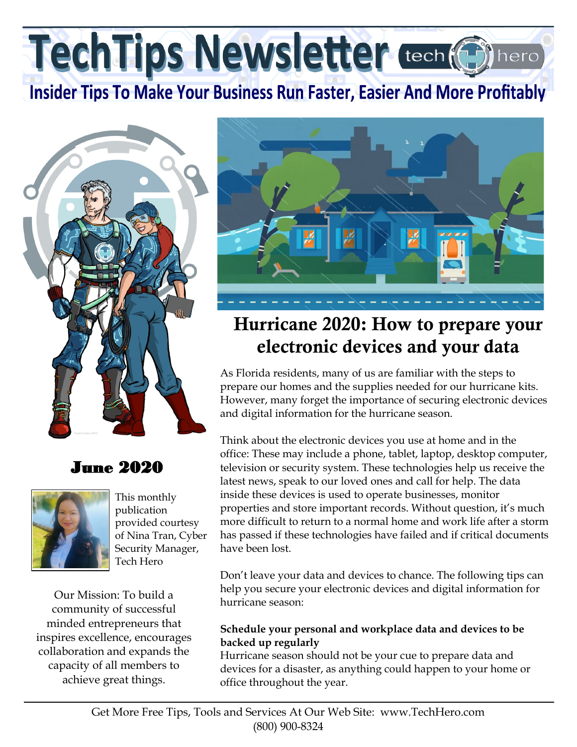TechTips Newsletter tech (6)

# **Insider Tips To Make Your Business Run Faster, Easier And More Profitably**



# June 2020



This monthly publication provided courtesy of Nina Tran, Cyber Security Manager, Tech Hero

Our Mission: To build a community of successful minded entrepreneurs that inspires excellence, encourages collaboration and expands the capacity of all members to achieve great things.



# Hurricane 2020: How to prepare your electronic devices and your data

As Florida residents, many of us are familiar with the steps to prepare our homes and the supplies needed for our hurricane kits. However, many forget the importance of securing electronic devices and digital information for the hurricane season.

Think about the electronic devices you use at home and in the office: These may include a phone, tablet, laptop, desktop computer, television or security system. These technologies help us receive the latest news, speak to our loved ones and call for help. The data inside these devices is used to operate businesses, monitor properties and store important records. Without question, it's much more difficult to return to a normal home and work life after a storm has passed if these technologies have failed and if critical documents have been lost.

Don't leave your data and devices to chance. The following tips can help you secure your electronic devices and digital information for hurricane season:

#### **Schedule your personal and workplace data and devices to be backed up regularly**

Hurricane season should not be your cue to prepare data and devices for a disaster, as anything could happen to your home or office throughout the year.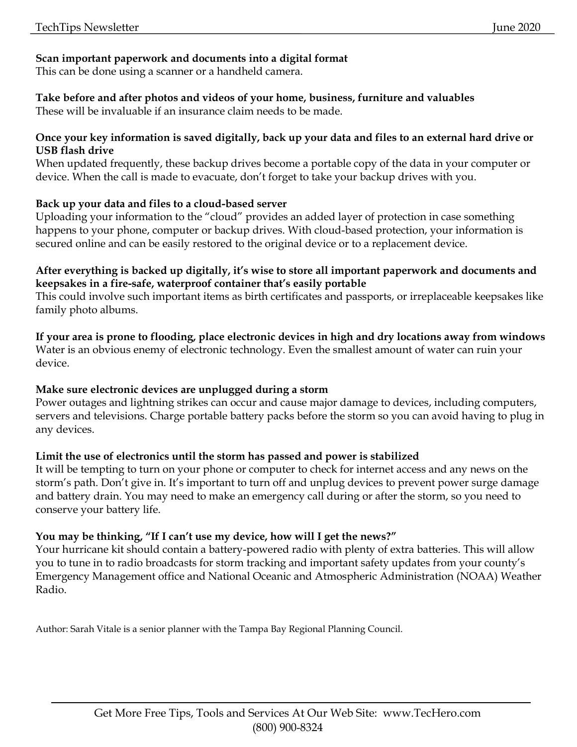# **Scan important paperwork and documents into a digital format**

This can be done using a scanner or a handheld camera.

# **Take before and after photos and videos of your home, business, furniture and valuables**

These will be invaluable if an insurance claim needs to be made.

#### **Once your key information is saved digitally, back up your data and files to an external hard drive or USB flash drive**

When updated frequently, these backup drives become a portable copy of the data in your computer or device. When the call is made to evacuate, don't forget to take your backup drives with you.

### **Back up your data and files to a cloud-based server**

Uploading your information to the "cloud" provides an added layer of protection in case something happens to your phone, computer or backup drives. With cloud-based protection, your information is secured online and can be easily restored to the original device or to a replacement device.

### **After everything is backed up digitally, it's wise to store all important paperwork and documents and keepsakes in a fire-safe, waterproof container that's easily portable**

This could involve such important items as birth certificates and passports, or irreplaceable keepsakes like family photo albums.

**If your area is prone to flooding, place electronic devices in high and dry locations away from windows** Water is an obvious enemy of electronic technology. Even the smallest amount of water can ruin your device.

# **Make sure electronic devices are unplugged during a storm**

Power outages and lightning strikes can occur and cause major damage to devices, including computers, servers and televisions. Charge portable battery packs before the storm so you can avoid having to plug in any devices.

# **Limit the use of electronics until the storm has passed and power is stabilized**

It will be tempting to turn on your phone or computer to check for internet access and any news on the storm's path. Don't give in. It's important to turn off and unplug devices to prevent power surge damage and battery drain. You may need to make an emergency call during or after the storm, so you need to conserve your battery life.

# **You may be thinking, "If I can't use my device, how will I get the news?"**

Your hurricane kit should contain a battery-powered radio with plenty of extra batteries. This will allow you to tune in to radio broadcasts for storm tracking and important safety updates from your county's Emergency Management office and National Oceanic and Atmospheric Administration (NOAA) Weather Radio.

Author: Sarah Vitale is a senior planner with the Tampa Bay Regional Planning Council.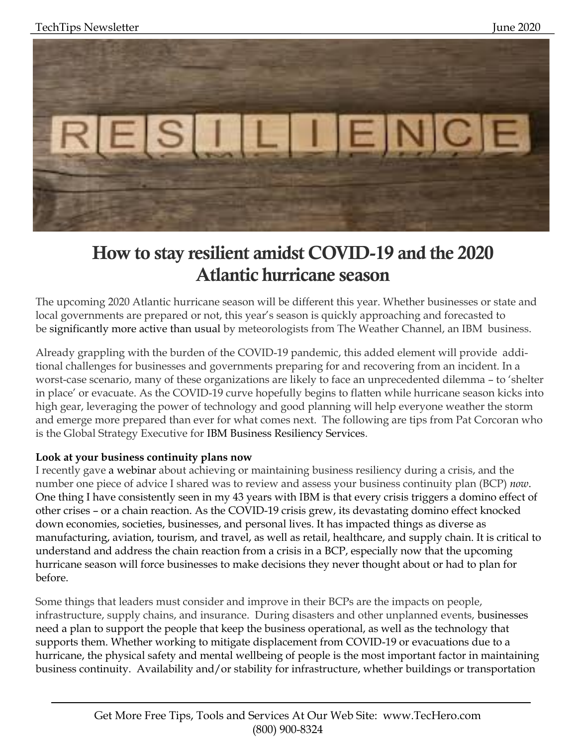

# How to stay resilient amidst COVID-19 and the 2020 Atlantic hurricane season

The upcoming 2020 Atlantic hurricane season will be different this year. Whether businesses or state and local governments are prepared or not, this year's season is quickly approaching and forecasted to be significantly more active than usual by meteorologists from The Weather Channel, an IBM business.

Already grappling with the burden of the COVID-19 pandemic, this added element will provide additional challenges for businesses and governments preparing for and recovering from an incident. In a worst-case scenario, many of these organizations are likely to face an unprecedented dilemma – to 'shelter in place' or evacuate. As the COVID-19 curve hopefully begins to flatten while hurricane season kicks into high gear, leveraging the power of technology and good planning will help everyone weather the storm and emerge more prepared than ever for what comes next. The following are tips from Pat Corcoran who is the Global Strategy Executive for IBM Business Resiliency Services.

### **Look at your business continuity plans now**

I recently gave a webinar about achieving or maintaining business resiliency during a crisis, and the number one piece of advice I shared was to review and assess your business continuity plan (BCP) *now*. One thing I have consistently seen in my 43 years with IBM is that every crisis triggers a domino effect of other crises – or a chain reaction. As the COVID-19 crisis grew, its devastating domino effect knocked down economies, societies, businesses, and personal lives. It has impacted things as diverse as manufacturing, aviation, tourism, and travel, as well as retail, healthcare, and supply chain. It is critical to understand and address the chain reaction from a crisis in a BCP, especially now that the upcoming hurricane season will force businesses to make decisions they never thought about or had to plan for before.

Some things that leaders must consider and improve in their BCPs are the impacts on people, infrastructure, supply chains, and insurance. During disasters and other unplanned events, businesses need a plan to support the people that keep the business operational, as well as the technology that supports them. Whether working to mitigate displacement from COVID-19 or evacuations due to a hurricane, the physical safety and mental wellbeing of people is the most important factor in maintaining business continuity. Availability and/or stability for infrastructure, whether buildings or transportation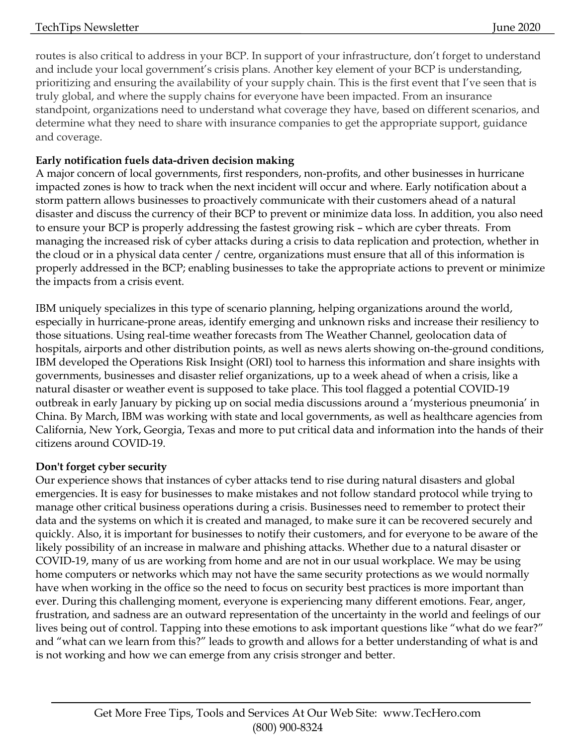routes is also critical to address in your BCP. In support of your infrastructure, don't forget to understand and include your local government's crisis plans. Another key element of your BCP is understanding, prioritizing and ensuring the availability of your supply chain. This is the first event that I've seen that is truly global, and where the supply chains for everyone have been impacted. From an insurance standpoint, organizations need to understand what coverage they have, based on different scenarios, and determine what they need to share with insurance companies to get the appropriate support, guidance and coverage.

# **Early notification fuels data-driven decision making**

A major concern of local governments, first responders, non-profits, and other businesses in hurricane impacted zones is how to track when the next incident will occur and where. Early notification about a storm pattern allows businesses to proactively communicate with their customers ahead of a natural disaster and discuss the currency of their BCP to prevent or minimize data loss. In addition, you also need to ensure your BCP is properly addressing the fastest growing risk – which are cyber threats. From managing the increased risk of cyber attacks during a crisis to data replication and protection, whether in the cloud or in a physical data center / centre, organizations must ensure that all of this information is properly addressed in the BCP; enabling businesses to take the appropriate actions to prevent or minimize the impacts from a crisis event.

IBM uniquely specializes in this type of scenario planning, helping organizations around the world, especially in hurricane-prone areas, identify emerging and unknown risks and increase their resiliency to those situations. Using real-time weather forecasts from The Weather Channel, geolocation data of hospitals, airports and other distribution points, as well as news alerts showing on-the-ground conditions, IBM developed the Operations Risk Insight (ORI) tool to harness this information and share insights with governments, businesses and disaster relief organizations, up to a week ahead of when a crisis, like a natural disaster or weather event is supposed to take place. This tool flagged a potential COVID-19 outbreak in early January by picking up on social media discussions around a 'mysterious pneumonia' in China. By March, IBM was working with state and local governments, as well as healthcare agencies from California, New York, Georgia, Texas and more to put critical data and information into the hands of their citizens around COVID-19.

# **Don't forget cyber security**

Our experience shows that instances of cyber attacks tend to rise during natural disasters and global emergencies. It is easy for businesses to make mistakes and not follow standard protocol while trying to manage other critical business operations during a crisis. Businesses need to remember to protect their data and the systems on which it is created and managed, to make sure it can be recovered securely and quickly. Also, it is important for businesses to notify their customers, and for everyone to be aware of the likely possibility of an increase in malware and phishing attacks. Whether due to a natural disaster or COVID-19, many of us are working from home and are not in our usual workplace. We may be using home computers or networks which may not have the same security protections as we would normally have when working in the office so the need to focus on security best practices is more important than ever. During this challenging moment, everyone is experiencing many different emotions. Fear, anger, frustration, and sadness are an outward representation of the uncertainty in the world and feelings of our lives being out of control. Tapping into these emotions to ask important questions like "what do we fear?" and "what can we learn from this?" leads to growth and allows for a better understanding of what is and is not working and how we can emerge from any crisis stronger and better.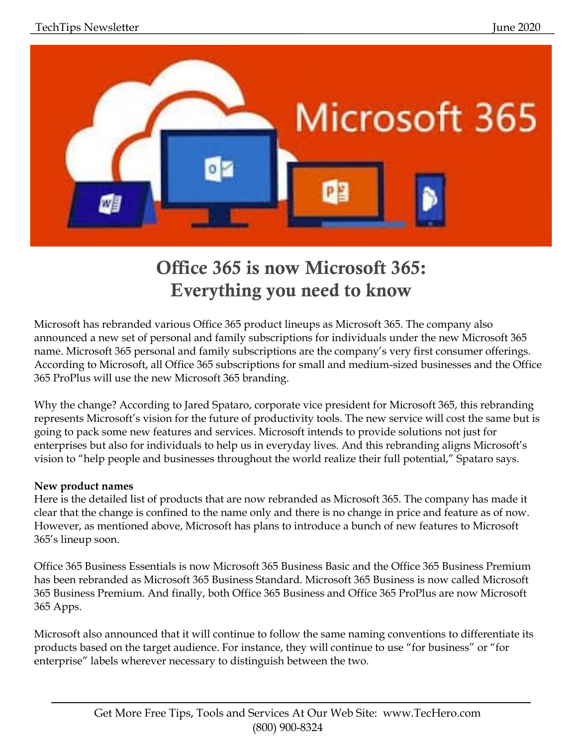

# Office 365 is now Microsoft 365: Everything you need to know

Microsoft has rebranded various Office 365 product lineups as Microsoft 365. The company also announced a new set of personal and family subscriptions for individuals under the new Microsoft 365 name. Microsoft 365 personal and family subscriptions are the company's very first consumer offerings. According to Microsoft, all Office 365 subscriptions for small and medium-sized businesses and the Office 365 ProPlus will use the new Microsoft 365 branding.

Why the change? According to Jared Spataro, corporate vice president for Microsoft 365, this rebranding represents Microsoft's vision for the future of productivity tools. The new service will cost the same but is going to pack some new features and services. Microsoft intends to provide solutions not just for enterprises but also for individuals to help us in everyday lives. And this rebranding aligns Microsoft's vision to "help people and businesses throughout the world realize their full potential," Spataro says.

### **New product names**

Here is the detailed list of products that are now rebranded as Microsoft 365. The company has made it clear that the change is confined to the name only and there is no change in price and feature as of now. However, as mentioned above, Microsoft has plans to introduce a bunch of new features to Microsoft 365's lineup soon.

Office 365 Business Essentials is now Microsoft 365 Business Basic and the Office 365 Business Premium has been rebranded as Microsoft 365 Business Standard. Microsoft 365 Business is now called Microsoft 365 Business Premium. And finally, both Office 365 Business and Office 365 ProPlus are now Microsoft 365 Apps.

Microsoft also announced that it will continue to follow the same naming conventions to differentiate its products based on the target audience. For instance, they will continue to use "for business" or "for enterprise" labels wherever necessary to distinguish between the two.